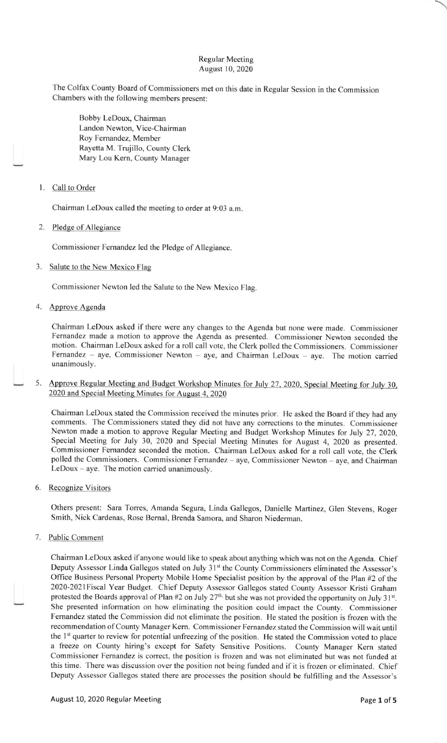## Regular Meeting August 10, 2020

The Colfax County Board of Commissioners met on this date in Regular Session in the Commission Chambers with the following members present:

Bobby LeDoux, Chairman Landon Newton. Vice-Chairman Roy Fernandez, Member Rayetta M. Trujillo, County Clerk Mary Lou Kern, County Manager

## <sup>I</sup>. Call to Order

Chairman LeDoux called the meeting to order at 9:03 a.m

2. Pledge of Allegiance

Commissioner Femandez led the Pledge of Allegiance.

3. Salute to the New Mexico Flag

Commissioner Newton led the Salute to the New Mexico Flag.

4. Approve Agenda

Chairman LeDoux asked if there were any changes to the Agenda but none were made. Commissioner Fernandez made a motion to approve the Agenda as presented. Commissioner Newton seconded the motion. Chairman LeDoux asked for a roll call vote, the Clerk polled the Commissioners. Commissioner Fernandez - aye, Commissioner Newton - aye, and Chairman LeDoux - aye. The motion carried unanimously.

5. Approve Regular Meeting and Budget Workshop Minutes for July 27, 2020, Special Meeting for July 30, 2020 and Special Meeting Minutes for August 4, 2020

Chairman LeDoux stated the Commission received the minutes prior. He asked the Board if they had any comments. The Commissioners stated they did not have any corrections to the minutes. Commissioner Newton made a motion to approve Regular Meeting and Budget Workshop Minutes for July 27, 2020, Special Meeting for July 30, 2020 and Special Meeting Minutes for August 4, 2020 as presented. Commissioner Fernandez seconded the motion. Chairman LeDoux asked for a roll call vote, the Clerk polled the Commissioners. Commissioner Fernandez - aye, Commissioner Newton - aye, and Chairman LeDoux - aye. The motion carried unanimously.

6. Recognize Visitors

Others present: Sara Torres, Amanda Segura, Linda Gallegos, Danielle Martinez, Glen Stevens, Roger Smith, Nick Cardenas, Rose Bernal, Brenda Samora, and Sharon Niederman.

7. Public Comment

Chairman LeDoux asked if anyone would like to speak about anything which was not on the Agenda. Chief Deputy Assessor Linda Gallegos stated on July 31<sup>st</sup> the County Commissioners eliminated the Assessor's Office Business Personal Property Mobile Home Specialist position by the approval of the Plan #2 of the 2020-202lFiscal Year Budget. Chief Deputy Assessor Gallegos stated County Assessor Kristi Graham protested the Boards approval of Plan #2 on July 27<sup>th,</sup> but she was not provided the opportunity on July 31<sup>st</sup>. She presented information on how eliminating the position could impact the County. Commissioner Fernandez stated the Commission did not eliminate the position. He stated the position is frozen with the recommendation of County Manager Kern. Commissioner Fernandez stated the Commission will wait until the 1<sup>st</sup> quarter to review for potential unfreezing of the position. He stated the Commission voted to place a freeze on County hiring's except for Safety Sensitive Positions. County Manager Kern stated Commissioner Fernandez is correct, the position is frozen and was not eliminated but was not funded at this time. There was discussion over the position not being funded and if it is frozen or eliminated. Chief Deputy Assessor Gallegos slated there are processes the position should be fulfilling and the Assessor's